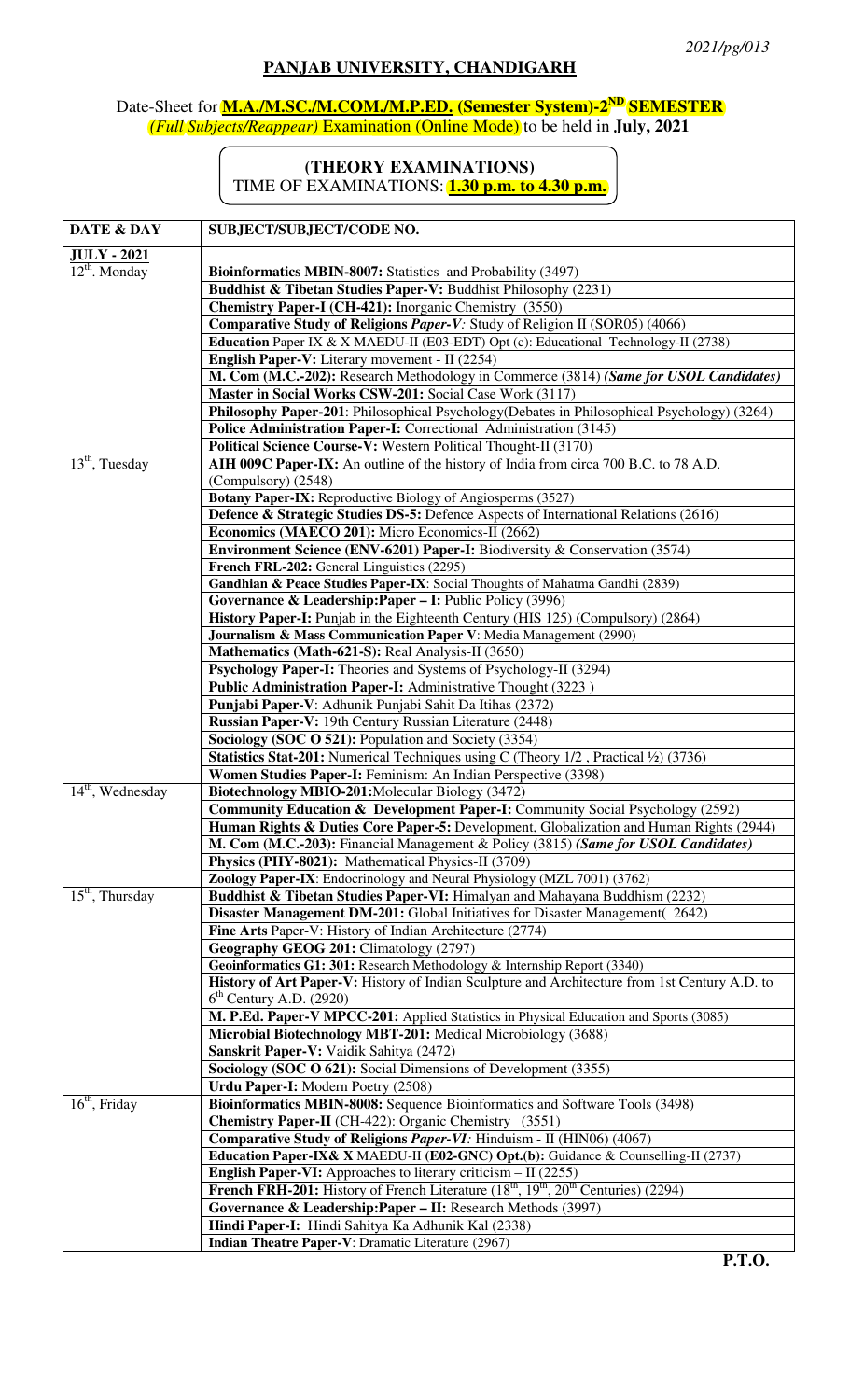## **PANJAB UNIVERSITY, CHANDIGARH**

## Date-Sheet for **M.A./M.SC./M.COM./M.P.ED. (Semester System)-2ND SEMESTER** *(Full Subjects/Reappear)* Examination (Online Mode) to be held in **July, 2021**

## **(THEORY EXAMINATIONS)**

TIME OF EXAMINATIONS: **1.30 p.m. to 4.30 p.m.**

| DATE & DAY         | SUBJECT/SUBJECT/CODE NO.                                                                             |
|--------------------|------------------------------------------------------------------------------------------------------|
| <b>JULY - 2021</b> |                                                                                                      |
| $12^{th}$ . Monday | Bioinformatics MBIN-8007: Statistics and Probability (3497)                                          |
|                    | Buddhist & Tibetan Studies Paper-V: Buddhist Philosophy (2231)                                       |
|                    | Chemistry Paper-I (CH-421): Inorganic Chemistry (3550)                                               |
|                    | Comparative Study of Religions Paper-V: Study of Religion II (SOR05) (4066)                          |
|                    | Education Paper IX & X MAEDU-II (E03-EDT) Opt (c): Educational Technology-II (2738)                  |
|                    | English Paper-V: Literary movement - II (2254)                                                       |
|                    | M. Com (M.C.-202): Research Methodology in Commerce (3814) (Same for USOL Candidates)                |
|                    | Master in Social Works CSW-201: Social Case Work (3117)                                              |
|                    | Philosophy Paper-201: Philosophical Psychology (Debates in Philosophical Psychology) (3264)          |
|                    | Police Administration Paper-I: Correctional Administration (3145)                                    |
|                    | Political Science Course-V: Western Political Thought-II (3170)                                      |
| $13th$ , Tuesday   | AIH 009C Paper-IX: An outline of the history of India from circa 700 B.C. to 78 A.D.                 |
|                    | (Compulsory) (2548)                                                                                  |
|                    | Botany Paper-IX: Reproductive Biology of Angiosperms (3527)                                          |
|                    | Defence & Strategic Studies DS-5: Defence Aspects of International Relations (2616)                  |
|                    | Economics (MAECO 201): Micro Economics-II (2662)                                                     |
|                    | Environment Science (ENV-6201) Paper-I: Biodiversity & Conservation (3574)                           |
|                    | French FRL-202: General Linguistics (2295)                                                           |
|                    | Gandhian & Peace Studies Paper-IX: Social Thoughts of Mahatma Gandhi (2839)                          |
|                    | Governance & Leadership: Paper - I: Public Policy (3996)                                             |
|                    | History Paper-I: Punjab in the Eighteenth Century (HIS 125) (Compulsory) (2864)                      |
|                    | Journalism & Mass Communication Paper V: Media Management (2990)                                     |
|                    | Mathematics (Math-621-S): Real Analysis-II (3650)                                                    |
|                    | Psychology Paper-I: Theories and Systems of Psychology-II (3294)                                     |
|                    | Public Administration Paper-I: Administrative Thought (3223)                                         |
|                    | Punjabi Paper-V: Adhunik Punjabi Sahit Da Itihas (2372)                                              |
|                    | Russian Paper-V: 19th Century Russian Literature (2448)                                              |
|                    | Sociology (SOC O 521): Population and Society (3354)                                                 |
|                    | Statistics Stat-201: Numerical Techniques using C (Theory 1/2, Practical 1/2) (3736)                 |
|                    | Women Studies Paper-I: Feminism: An Indian Perspective (3398)                                        |
| $14th$ , Wednesday | Biotechnology MBIO-201: Molecular Biology (3472)                                                     |
|                    | <b>Community Education &amp; Development Paper-I:</b> Community Social Psychology (2592)             |
|                    | Human Rights & Duties Core Paper-5: Development, Globalization and Human Rights (2944)               |
|                    | M. Com (M.C.-203): Financial Management & Policy (3815) (Same for USOL Candidates)                   |
|                    | Physics (PHY-8021): Mathematical Physics-II (3709)                                                   |
|                    | Zoology Paper-IX: Endocrinology and Neural Physiology (MZL 7001) (3762)                              |
| $15th$ , Thursday  | Buddhist & Tibetan Studies Paper-VI: Himalyan and Mahayana Buddhism (2232)                           |
|                    | Disaster Management DM-201: Global Initiatives for Disaster Management(2642)                         |
|                    | Fine Arts Paper-V: History of Indian Architecture (2774)                                             |
|                    | Geography GEOG 201: Climatology (2797)                                                               |
|                    | Geoinformatics G1: 301: Research Methodology & Internship Report (3340)                              |
|                    | <b>History of Art Paper-V:</b> History of Indian Sculpture and Architecture from 1st Century A.D. to |
|                    | $6th$ Century A.D. (2920)                                                                            |
|                    | M. P.Ed. Paper-V MPCC-201: Applied Statistics in Physical Education and Sports (3085)                |
|                    | Microbial Biotechnology MBT-201: Medical Microbiology (3688)                                         |
|                    | Sanskrit Paper-V: Vaidik Sahitya (2472)                                                              |
|                    | Sociology (SOC O 621): Social Dimensions of Development (3355)                                       |
|                    | Urdu Paper-I: Modern Poetry (2508)                                                                   |
| $16th$ , Friday    | Bioinformatics MBIN-8008: Sequence Bioinformatics and Software Tools (3498)                          |
|                    | <b>Chemistry Paper-II</b> (CH-422): Organic Chemistry (3551)                                         |
|                    | Comparative Study of Religions Paper-VI: Hinduism - II (HIN06) (4067)                                |
|                    | Education Paper-IX& X MAEDU-II (E02-GNC) Opt.(b): Guidance & Counselling-II (2737)                   |
|                    | <b>English Paper-VI:</b> Approaches to literary criticism $-$ II (2255)                              |
|                    | <b>French FRH-201:</b> History of French Literature $(18th, 19th, 20th$ Centuries) (2294)            |
|                    | Governance & Leadership: Paper - II: Research Methods (3997)                                         |
|                    | Hindi Paper-I: Hindi Sahitya Ka Adhunik Kal (2338)                                                   |
|                    | Indian Theatre Paper-V: Dramatic Literature (2967)                                                   |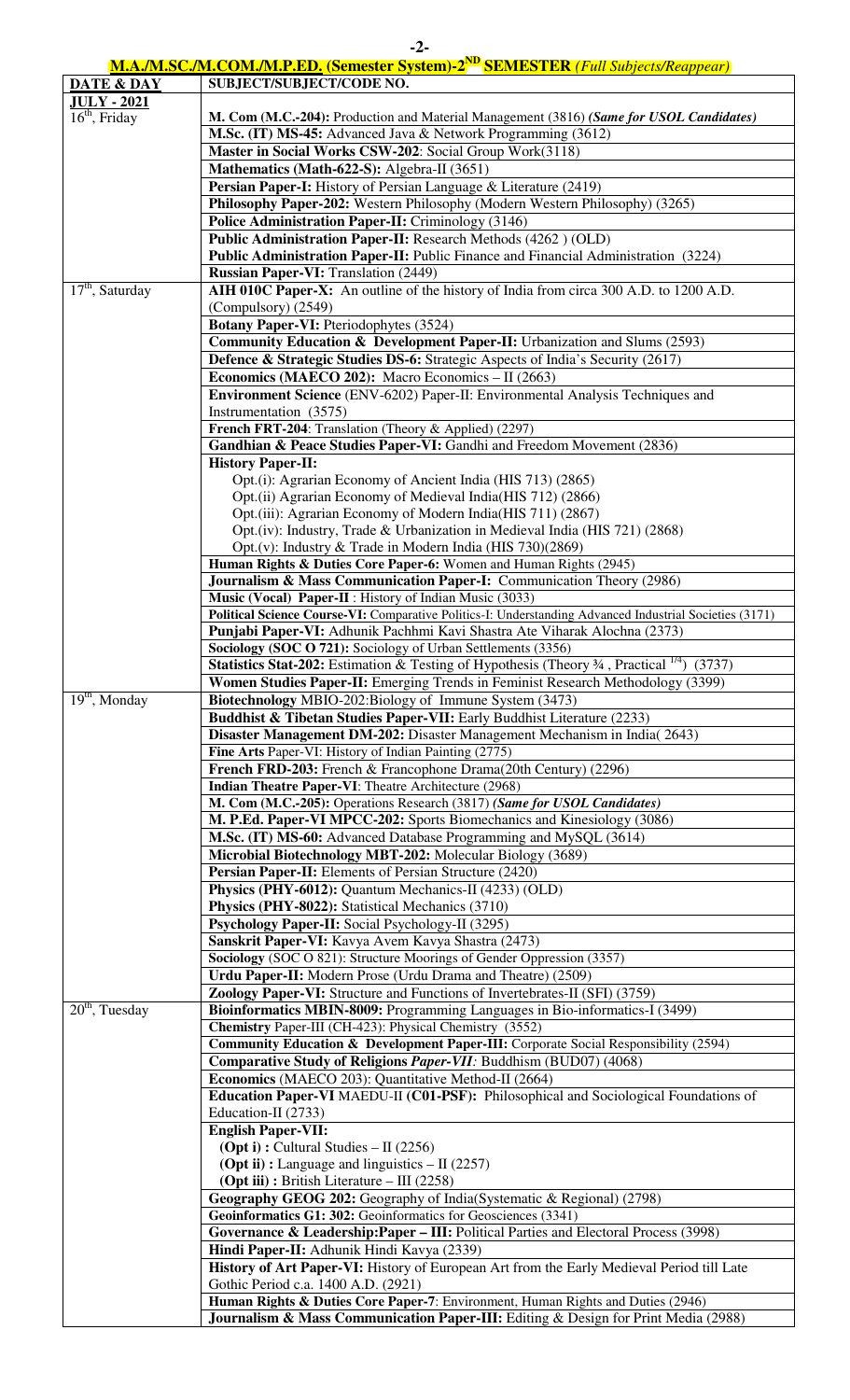| M.A./M.SC./M.COM./M.P.ED. (Semester System)-2 <sup>ND</sup> SEMESTER (Full Subjects/Reappear) |  |
|-----------------------------------------------------------------------------------------------|--|

| DATE & DAY                      | <u>MELONIDO MICOMMULI IEDI</u> (DUIRSICI DJSIUII) E<br>$\mathbf{D}$ $\mathbf{D}$ $\mathbf{D}$ $\mathbf{D}$ $\mathbf{D}$ $\mathbf{D}$ $\mathbf{N}$ $\mathbf{D}$ $\mathbf{N}$ $\mathbf{D}$ $\mathbf{D}$ $\mathbf{D}$ $\mathbf{N}$ $\mathbf{D}$ $\mathbf{D}$ $\mathbf{N}$ $\mathbf{D}$ $\mathbf{D}$ $\mathbf{N}$ $\mathbf{D}$ $\mathbf{N}$ $\mathbf{D}$ $\mathbf{N}$ $\mathbf{D}$ $\mathbf{$<br>SUBJECT/SUBJECT/CODE NO. |
|---------------------------------|-----------------------------------------------------------------------------------------------------------------------------------------------------------------------------------------------------------------------------------------------------------------------------------------------------------------------------------------------------------------------------------------------------------------------|
| <b>JULY - 2021</b>              |                                                                                                                                                                                                                                                                                                                                                                                                                       |
| $16th$ , Friday                 | M. Com (M.C.-204): Production and Material Management (3816) (Same for USOL Candidates)                                                                                                                                                                                                                                                                                                                               |
|                                 | M.Sc. (IT) MS-45: Advanced Java & Network Programming (3612)                                                                                                                                                                                                                                                                                                                                                          |
|                                 | Master in Social Works CSW-202: Social Group Work(3118)                                                                                                                                                                                                                                                                                                                                                               |
|                                 | Mathematics (Math-622-S): Algebra-II (3651)<br><b>Persian Paper-I:</b> History of Persian Language & Literature (2419)                                                                                                                                                                                                                                                                                                |
|                                 | Philosophy Paper-202: Western Philosophy (Modern Western Philosophy) (3265)                                                                                                                                                                                                                                                                                                                                           |
|                                 | Police Administration Paper-II: Criminology (3146)                                                                                                                                                                                                                                                                                                                                                                    |
|                                 | Public Administration Paper-II: Research Methods (4262) (OLD)                                                                                                                                                                                                                                                                                                                                                         |
|                                 | Public Administration Paper-II: Public Finance and Financial Administration (3224)                                                                                                                                                                                                                                                                                                                                    |
|                                 | <b>Russian Paper-VI:</b> Translation (2449)                                                                                                                                                                                                                                                                                                                                                                           |
| $\overline{17^{th}}$ , Saturday | AIH 010C Paper-X: An outline of the history of India from circa 300 A.D. to 1200 A.D.                                                                                                                                                                                                                                                                                                                                 |
|                                 | (Compulsory) (2549)                                                                                                                                                                                                                                                                                                                                                                                                   |
|                                 | <b>Botany Paper-VI:</b> Pteriodophytes (3524)                                                                                                                                                                                                                                                                                                                                                                         |
|                                 | <b>Community Education &amp; Development Paper-II:</b> Urbanization and Slums (2593)                                                                                                                                                                                                                                                                                                                                  |
|                                 | Defence & Strategic Studies DS-6: Strategic Aspects of India's Security (2617)<br><b>Economics (MAECO 202):</b> Macro Economics $-$ II (2663)                                                                                                                                                                                                                                                                         |
|                                 | <b>Environment Science</b> (ENV-6202) Paper-II: Environmental Analysis Techniques and                                                                                                                                                                                                                                                                                                                                 |
|                                 | Instrumentation (3575)                                                                                                                                                                                                                                                                                                                                                                                                |
|                                 | French FRT-204: Translation (Theory & Applied) (2297)                                                                                                                                                                                                                                                                                                                                                                 |
|                                 | Gandhian & Peace Studies Paper-VI: Gandhi and Freedom Movement (2836)                                                                                                                                                                                                                                                                                                                                                 |
|                                 | <b>History Paper-II:</b>                                                                                                                                                                                                                                                                                                                                                                                              |
|                                 | Opt.(i): Agrarian Economy of Ancient India (HIS 713) (2865)                                                                                                                                                                                                                                                                                                                                                           |
|                                 | Opt.(ii) Agrarian Economy of Medieval India(HIS 712) (2866)                                                                                                                                                                                                                                                                                                                                                           |
|                                 | Opt.(iii): Agrarian Economy of Modern India(HIS 711) (2867)                                                                                                                                                                                                                                                                                                                                                           |
|                                 | Opt. (iv): Industry, Trade & Urbanization in Medieval India (HIS 721) (2868)                                                                                                                                                                                                                                                                                                                                          |
|                                 | Opt.(v): Industry & Trade in Modern India (HIS 730)(2869)<br>Human Rights & Duties Core Paper-6: Women and Human Rights (2945)                                                                                                                                                                                                                                                                                        |
|                                 | Journalism & Mass Communication Paper-I: Communication Theory (2986)                                                                                                                                                                                                                                                                                                                                                  |
|                                 | Music (Vocal) Paper-II : History of Indian Music (3033)                                                                                                                                                                                                                                                                                                                                                               |
|                                 | Political Science Course-VI: Comparative Politics-I: Understanding Advanced Industrial Societies (3171)                                                                                                                                                                                                                                                                                                               |
|                                 | Punjabi Paper-VI: Adhunik Pachhmi Kavi Shastra Ate Viharak Alochna (2373)                                                                                                                                                                                                                                                                                                                                             |
|                                 | Sociology (SOC O 721): Sociology of Urban Settlements (3356)                                                                                                                                                                                                                                                                                                                                                          |
|                                 | <b>Statistics Stat-202:</b> Estimation & Testing of Hypothesis (Theory $\frac{3}{4}$ , Practical $\frac{1}{4}$ )<br>(3737)                                                                                                                                                                                                                                                                                            |
|                                 | Women Studies Paper-II: Emerging Trends in Feminist Research Methodology (3399)                                                                                                                                                                                                                                                                                                                                       |
| $19th$ , Monday                 | Biotechnology MBIO-202:Biology of Immune System (3473)                                                                                                                                                                                                                                                                                                                                                                |
|                                 | <b>Buddhist &amp; Tibetan Studies Paper-VII:</b> Early Buddhist Literature (2233)<br>Disaster Management DM-202: Disaster Management Mechanism in India(2643)                                                                                                                                                                                                                                                         |
|                                 | Fine Arts Paper-VI: History of Indian Painting (2775)                                                                                                                                                                                                                                                                                                                                                                 |
|                                 | French FRD-203: French & Francophone Drama(20th Century) (2296)                                                                                                                                                                                                                                                                                                                                                       |
|                                 | Indian Theatre Paper-VI: Theatre Architecture (2968)                                                                                                                                                                                                                                                                                                                                                                  |
|                                 | M. Com (M.C.-205): Operations Research (3817) (Same for USOL Candidates)                                                                                                                                                                                                                                                                                                                                              |
|                                 | M. P.Ed. Paper-VI MPCC-202: Sports Biomechanics and Kinesiology (3086)                                                                                                                                                                                                                                                                                                                                                |
|                                 | M.Sc. (IT) MS-60: Advanced Database Programming and MySQL (3614)                                                                                                                                                                                                                                                                                                                                                      |
|                                 | Microbial Biotechnology MBT-202: Molecular Biology (3689)                                                                                                                                                                                                                                                                                                                                                             |
|                                 | Persian Paper-II: Elements of Persian Structure (2420)<br>Physics (PHY-6012): Quantum Mechanics-II (4233) (OLD)                                                                                                                                                                                                                                                                                                       |
|                                 | Physics (PHY-8022): Statistical Mechanics (3710)                                                                                                                                                                                                                                                                                                                                                                      |
|                                 | Psychology Paper-II: Social Psychology-II (3295)                                                                                                                                                                                                                                                                                                                                                                      |
|                                 | Sanskrit Paper-VI: Kavya Avem Kavya Shastra (2473)                                                                                                                                                                                                                                                                                                                                                                    |
|                                 | Sociology (SOC O 821): Structure Moorings of Gender Oppression (3357)                                                                                                                                                                                                                                                                                                                                                 |
|                                 | Urdu Paper-II: Modern Prose (Urdu Drama and Theatre) (2509)                                                                                                                                                                                                                                                                                                                                                           |
|                                 | Zoology Paper-VI: Structure and Functions of Invertebrates-II (SFI) (3759)                                                                                                                                                                                                                                                                                                                                            |
| $20th$ , Tuesday                | Bioinformatics MBIN-8009: Programming Languages in Bio-informatics-I (3499)                                                                                                                                                                                                                                                                                                                                           |
|                                 | Chemistry Paper-III (CH-423): Physical Chemistry (3552)                                                                                                                                                                                                                                                                                                                                                               |
|                                 | <b>Community Education &amp; Development Paper-III:</b> Corporate Social Responsibility (2594)<br>Comparative Study of Religions Paper-VII: Buddhism (BUD07) (4068)                                                                                                                                                                                                                                                   |
|                                 | Economics (MAECO 203): Quantitative Method-II (2664)                                                                                                                                                                                                                                                                                                                                                                  |
|                                 | Education Paper-VI MAEDU-II (C01-PSF): Philosophical and Sociological Foundations of                                                                                                                                                                                                                                                                                                                                  |
|                                 | Education-II (2733)                                                                                                                                                                                                                                                                                                                                                                                                   |
|                                 | <b>English Paper-VII:</b>                                                                                                                                                                                                                                                                                                                                                                                             |
|                                 | <b>(Opt i):</b> Cultural Studies $-$ II (2256)                                                                                                                                                                                                                                                                                                                                                                        |
|                                 | <b>(Opt ii):</b> Language and linguistics $-$ II (2257)                                                                                                                                                                                                                                                                                                                                                               |
|                                 | <b>(Opt iii)</b> : British Literature $-$ III (2258)                                                                                                                                                                                                                                                                                                                                                                  |
|                                 | Geography GEOG 202: Geography of India(Systematic & Regional) (2798)<br>Geoinformatics G1: 302: Geoinformatics for Geosciences (3341)                                                                                                                                                                                                                                                                                 |
|                                 | Governance & Leadership: Paper - III: Political Parties and Electoral Process (3998)                                                                                                                                                                                                                                                                                                                                  |
|                                 | Hindi Paper-II: Adhunik Hindi Kavya (2339)                                                                                                                                                                                                                                                                                                                                                                            |
|                                 | History of Art Paper-VI: History of European Art from the Early Medieval Period till Late                                                                                                                                                                                                                                                                                                                             |
|                                 | Gothic Period c.a. 1400 A.D. (2921)                                                                                                                                                                                                                                                                                                                                                                                   |
|                                 | Human Rights & Duties Core Paper-7: Environment, Human Rights and Duties (2946)                                                                                                                                                                                                                                                                                                                                       |
|                                 | Journalism & Mass Communication Paper-III: Editing & Design for Print Media (2988)                                                                                                                                                                                                                                                                                                                                    |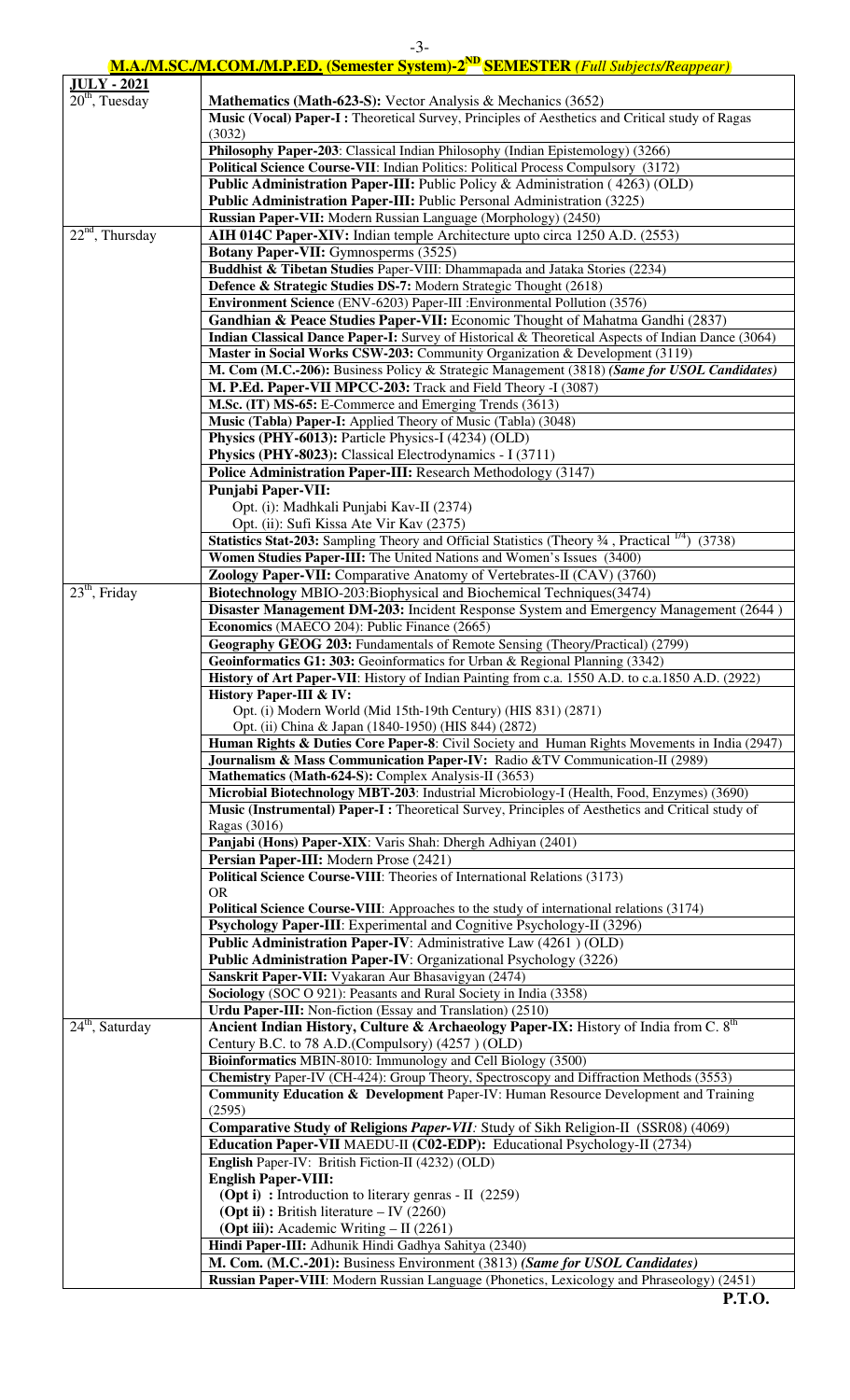|                                                  | $-3-$                                                                                                                                                                      |
|--------------------------------------------------|----------------------------------------------------------------------------------------------------------------------------------------------------------------------------|
|                                                  | <b>M.A./M.SC./M.COM./M.P.ED. (Semester System)-2<sup>ND</sup> SEMESTER (Full Subjects/Reappear)</b>                                                                        |
| <b>JULY - 2021</b><br>20 <sup>th</sup> , Tuesday |                                                                                                                                                                            |
|                                                  | <b>Mathematics (Math-623-S): Vector Analysis &amp; Mechanics (3652)</b><br>Music (Vocal) Paper-I: Theoretical Survey, Principles of Aesthetics and Critical study of Ragas |
|                                                  | (3032)                                                                                                                                                                     |
|                                                  | Philosophy Paper-203: Classical Indian Philosophy (Indian Epistemology) (3266)                                                                                             |
|                                                  | Political Science Course-VII: Indian Politics: Political Process Compulsory (3172)                                                                                         |
|                                                  | <b>Public Administration Paper-III:</b> Public Policy & Administration (4263) (OLD)                                                                                        |
|                                                  | <b>Public Administration Paper-III:</b> Public Personal Administration (3225)                                                                                              |
|                                                  | Russian Paper-VII: Modern Russian Language (Morphology) (2450)                                                                                                             |
| $22^{nd}$ , Thursday                             | AIH 014C Paper-XIV: Indian temple Architecture upto circa 1250 A.D. (2553)                                                                                                 |
|                                                  | <b>Botany Paper-VII:</b> Gymnosperms (3525)                                                                                                                                |
|                                                  | Buddhist & Tibetan Studies Paper-VIII: Dhammapada and Jataka Stories (2234)                                                                                                |
|                                                  | Defence & Strategic Studies DS-7: Modern Strategic Thought (2618)                                                                                                          |
|                                                  | Environment Science (ENV-6203) Paper-III : Environmental Pollution (3576)                                                                                                  |
|                                                  | Gandhian & Peace Studies Paper-VII: Economic Thought of Mahatma Gandhi (2837)                                                                                              |
|                                                  | Indian Classical Dance Paper-I: Survey of Historical & Theoretical Aspects of Indian Dance (3064)                                                                          |
|                                                  | Master in Social Works CSW-203: Community Organization & Development (3119)                                                                                                |
|                                                  | M. Com (M.C.-206): Business Policy & Strategic Management (3818) (Same for USOL Candidates)                                                                                |
|                                                  | M. P.Ed. Paper-VII MPCC-203: Track and Field Theory -I (3087)                                                                                                              |
|                                                  | M.Sc. (IT) MS-65: E-Commerce and Emerging Trends (3613)                                                                                                                    |
|                                                  | Music (Tabla) Paper-I: Applied Theory of Music (Tabla) (3048)                                                                                                              |
|                                                  | Physics (PHY-6013): Particle Physics-I (4234) (OLD)                                                                                                                        |
|                                                  | <b>Physics (PHY-8023):</b> Classical Electrodynamics - I (3711)                                                                                                            |
|                                                  | Police Administration Paper-III: Research Methodology (3147)                                                                                                               |
|                                                  | <b>Punjabi Paper-VII:</b>                                                                                                                                                  |
|                                                  | Opt. (i): Madhkali Punjabi Kav-II (2374)                                                                                                                                   |
|                                                  | Opt. (ii): Sufi Kissa Ate Vir Kav (2375)                                                                                                                                   |
|                                                  | Statistics Stat-203: Sampling Theory and Official Statistics (Theory 34, Practical 1/4)<br>(3738)                                                                          |
|                                                  | Women Studies Paper-III: The United Nations and Women's Issues (3400)                                                                                                      |
|                                                  | Zoology Paper-VII: Comparative Anatomy of Vertebrates-II (CAV) (3760)                                                                                                      |
| 23 <sup>th</sup> , Friday                        | Biotechnology MBIO-203:Biophysical and Biochemical Techniques(3474)                                                                                                        |
|                                                  | Disaster Management DM-203: Incident Response System and Emergency Management (2644)                                                                                       |
|                                                  | Economics (MAECO 204): Public Finance (2665)                                                                                                                               |
|                                                  | Geography GEOG 203: Fundamentals of Remote Sensing (Theory/Practical) (2799)                                                                                               |
|                                                  | Geoinformatics G1: 303: Geoinformatics for Urban & Regional Planning (3342)                                                                                                |
|                                                  | History of Art Paper-VII: History of Indian Painting from c.a. 1550 A.D. to c.a.1850 A.D. (2922)                                                                           |
|                                                  | <b>History Paper-III &amp; IV:</b>                                                                                                                                         |
|                                                  | Opt. (i) Modern World (Mid 15th-19th Century) (HIS 831) (2871)                                                                                                             |
|                                                  | Opt. (ii) China & Japan (1840-1950) (HIS 844) (2872)                                                                                                                       |
|                                                  | Human Rights & Duties Core Paper-8: Civil Society and Human Rights Movements in India (2947)                                                                               |
|                                                  | Journalism & Mass Communication Paper-IV: Radio &TV Communication-II (2989)                                                                                                |
|                                                  | Mathematics (Math-624-S): Complex Analysis-II (3653)                                                                                                                       |
|                                                  | Microbial Biotechnology MBT-203: Industrial Microbiology-I (Health, Food, Enzymes) (3690)                                                                                  |
|                                                  | Music (Instrumental) Paper-I: Theoretical Survey, Principles of Aesthetics and Critical study of                                                                           |
|                                                  | Ragas (3016)                                                                                                                                                               |

**Panjabi (Hons) Paper-XIX**: Varis Shah: Dhergh Adhiyan (2401)

**Sanskrit Paper-VII:** Vyakaran Aur Bhasavigyan (2474)

Century B.C. to 78 A.D.(Compulsory) (4257 ) (OLD)

**English** Paper-IV: British Fiction-II (4232) (OLD)

 **(Opt ii) :** British literature – IV (2260)  **(Opt iii):** Academic Writing – II (2261)

 **(Opt i) :** Introduction to literary genras - II (2259)

**Hindi Paper-III:** Adhunik Hindi Gadhya Sahitya (2340)

**Sociology** (SOC O 921): Peasants and Rural Society in India (3358) **Urdu Paper-III:** Non-fiction (Essay and Translation) (2510)

**Bioinformatics** MBIN-8010: Immunology and Cell Biology (3500)

24<sup>th</sup>, Saturday **Ancient Indian History, Culture & Archaeology Paper-IX:** History of India from C. 8<sup>th</sup>

**Political Science Course-VIII**: Theories of International Relations (3173)

**Psychology Paper-III**: Experimental and Cognitive Psychology-II (3296) **Public Administration Paper-IV**: Administrative Law (4261 ) (OLD) **Public Administration Paper-IV**: Organizational Psychology (3226)

**Political Science Course-VIII**: Approaches to the study of international relations (3174)

**Chemistry** Paper-IV (CH-424): Group Theory, Spectroscopy and Diffraction Methods (3553) **Community Education & Development** Paper-IV: Human Resource Development and Training

**Comparative Study of Religions** *Paper-VII:* Study of Sikh Religion-II (SSR08) (4069) **Education Paper-VII** MAEDU-II **(C02-EDP):** Educational Psychology-II (2734)

**M. Com. (M.C.-201):** Business Environment (3813) *(Same for USOL Candidates)*

**Russian Paper-VIII**: Modern Russian Language (Phonetics, Lexicology and Phraseology) (2451)

**Persian Paper-III:** Modern Prose (2421)

OR

(2595)

**English Paper-VIII:**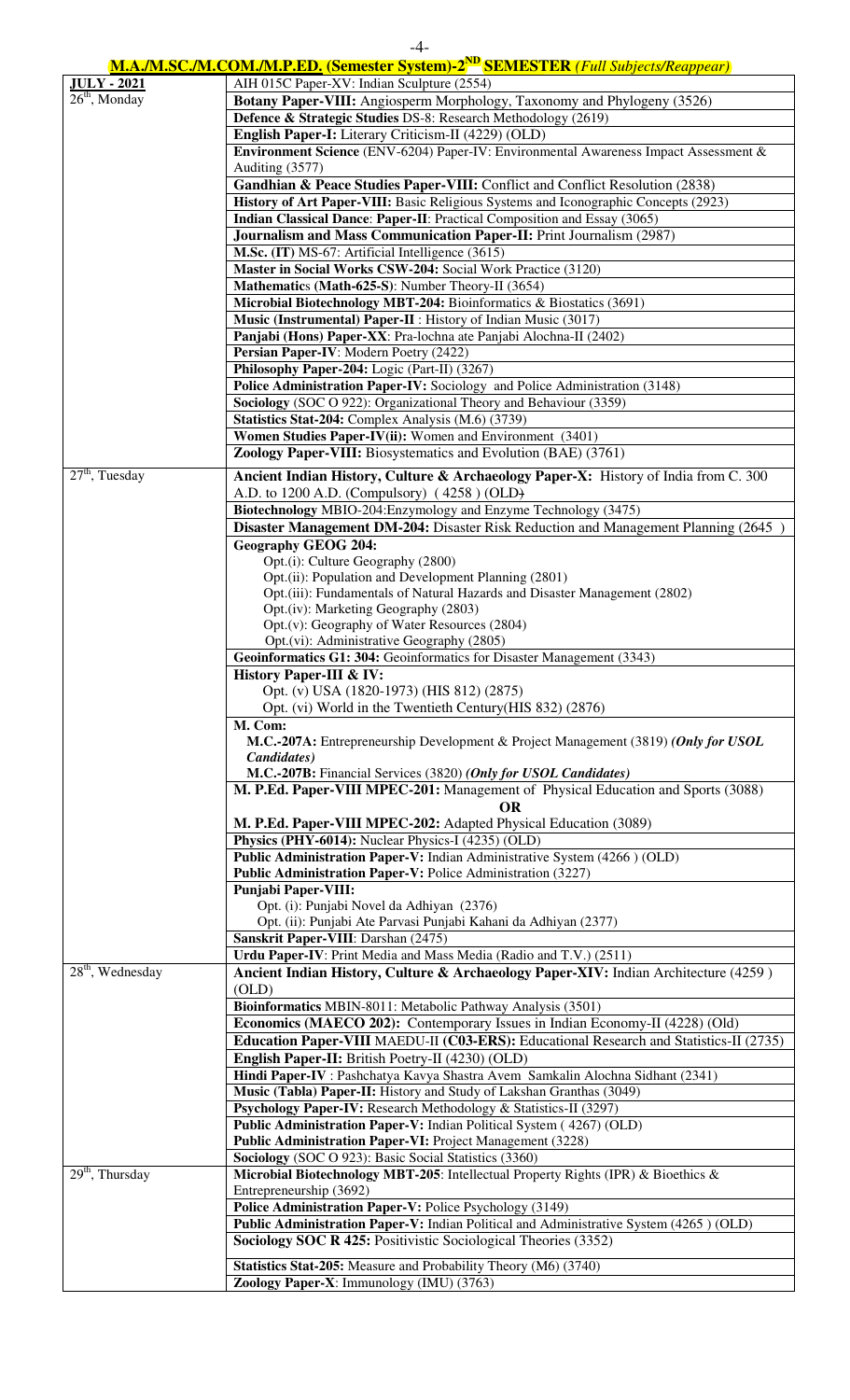|                    | $-4-$                                                                                                                             |
|--------------------|-----------------------------------------------------------------------------------------------------------------------------------|
|                    | <b>M.A./M.SC./M.COM./M.P.ED.</b> (Semester System)-2 <sup>ND</sup> SEMESTER (Full Subjects/Reappear)                              |
| <b>JULY - 2021</b> | AIH 015C Paper-XV: Indian Sculpture (2554)                                                                                        |
| $26th$ , Monday    | Botany Paper-VIII: Angiosperm Morphology, Taxonomy and Phylogeny (3526)                                                           |
|                    | Defence & Strategic Studies DS-8: Research Methodology (2619)                                                                     |
|                    | English Paper-I: Literary Criticism-II (4229) (OLD)                                                                               |
|                    | Environment Science (ENV-6204) Paper-IV: Environmental Awareness Impact Assessment &                                              |
|                    | Auditing (3577)                                                                                                                   |
|                    | Gandhian & Peace Studies Paper-VIII: Conflict and Conflict Resolution (2838)                                                      |
|                    | History of Art Paper-VIII: Basic Religious Systems and Iconographic Concepts (2923)                                               |
|                    | Indian Classical Dance: Paper-II: Practical Composition and Essay (3065)                                                          |
|                    | Journalism and Mass Communication Paper-II: Print Journalism (2987)                                                               |
|                    | M.Sc. (IT) MS-67: Artificial Intelligence (3615)                                                                                  |
|                    | Master in Social Works CSW-204: Social Work Practice (3120)                                                                       |
|                    | Mathematics (Math-625-S): Number Theory-II (3654)                                                                                 |
|                    | Microbial Biotechnology MBT-204: Bioinformatics & Biostatics (3691)                                                               |
|                    | Music (Instrumental) Paper-II : History of Indian Music (3017)                                                                    |
|                    | Panjabi (Hons) Paper-XX: Pra-lochna ate Panjabi Alochna-II (2402)                                                                 |
|                    | Persian Paper-IV: Modern Poetry (2422)                                                                                            |
|                    | Philosophy Paper-204: Logic (Part-II) (3267)                                                                                      |
|                    | Police Administration Paper-IV: Sociology and Police Administration (3148)                                                        |
|                    | Sociology (SOC O 922): Organizational Theory and Behaviour (3359)                                                                 |
|                    | <b>Statistics Stat-204:</b> Complex Analysis (M.6) (3739)                                                                         |
|                    | Women Studies Paper-IV(ii): Women and Environment (3401)                                                                          |
|                    | <b>Zoology Paper-VIII:</b> Biosystematics and Evolution (BAE) (3761)                                                              |
| $27th$ , Tuesday   | Ancient Indian History, Culture & Archaeology Paper-X: History of India from C. 300                                               |
|                    | A.D. to 1200 A.D. (Compulsory) (4258) (OLD)                                                                                       |
|                    | Biotechnology MBIO-204: Enzymology and Enzyme Technology (3475)                                                                   |
|                    | Disaster Management DM-204: Disaster Risk Reduction and Management Planning (2645)                                                |
|                    |                                                                                                                                   |
|                    | <b>Geography GEOG 204:</b>                                                                                                        |
|                    | Opt.(i): Culture Geography (2800)                                                                                                 |
|                    | Opt.(ii): Population and Development Planning (2801)<br>Opt.(iii): Fundamentals of Natural Hazards and Disaster Management (2802) |
|                    | Opt.(iv): Marketing Geography (2803)                                                                                              |
|                    | Opt.(v): Geography of Water Resources (2804)                                                                                      |
|                    | Opt.(vi): Administrative Geography (2805)                                                                                         |
|                    | Geoinformatics G1: 304: Geoinformatics for Disaster Management (3343)                                                             |
|                    | <b>History Paper-III &amp; IV:</b>                                                                                                |
|                    | Opt. (v) USA (1820-1973) (HIS 812) (2875)                                                                                         |
|                    | Opt. (vi) World in the Twentieth Century (HIS 832) (2876)                                                                         |
|                    | M. Com:                                                                                                                           |
|                    | M.C.-207A: Entrepreneurship Development & Project Management (3819) (Only for USOL                                                |
|                    | <i>Candidates</i> )                                                                                                               |
|                    | M.C.-207B: Financial Services (3820) (Only for USOL Candidates)                                                                   |
|                    | M. P.Ed. Paper-VIII MPEC-201: Management of Physical Education and Sports (3088)                                                  |
|                    | <b>OR</b>                                                                                                                         |
|                    | M. P.Ed. Paper-VIII MPEC-202: Adapted Physical Education (3089)                                                                   |
|                    | Physics (PHY-6014): Nuclear Physics-I (4235) (OLD)                                                                                |
|                    | Public Administration Paper-V: Indian Administrative System (4266) (OLD)                                                          |
|                    | Public Administration Paper-V: Police Administration (3227)                                                                       |
|                    | <b>Punjabi Paper-VIII:</b>                                                                                                        |
|                    | Opt. (i): Punjabi Novel da Adhiyan (2376)                                                                                         |
|                    | Opt. (ii): Punjabi Ate Parvasi Punjabi Kahani da Adhiyan (2377)                                                                   |
|                    | Sanskrit Paper-VIII: Darshan (2475)                                                                                               |
|                    | Urdu Paper-IV: Print Media and Mass Media (Radio and T.V.) (2511)                                                                 |
| $28th$ , Wednesday | Ancient Indian History, Culture & Archaeology Paper-XIV: Indian Architecture (4259)                                               |
|                    | (OLD)                                                                                                                             |
|                    | Bioinformatics MBIN-8011: Metabolic Pathway Analysis (3501)                                                                       |
|                    | <b>Economics (MAECO 202):</b> Contemporary Issues in Indian Economy-II (4228) (Old)                                               |
|                    | Education Depar VIII MAEDULU (C02 EDS). Educational Descepts and Statistics II (2735)                                             |

|                                          | <b>Education Paper-VIII</b> MAEDU-II (C03-ERS): Educational Research and Statistics-II (2735) |
|------------------------------------------|-----------------------------------------------------------------------------------------------|
|                                          | <b>English Paper-II:</b> British Poetry-II (4230) (OLD)                                       |
|                                          | <b>Hindi Paper-IV</b> : Pashchatya Kavya Shastra Avem Samkalin Alochna Sidhant (2341)         |
|                                          | Music (Tabla) Paper-II: History and Study of Lakshan Granthas (3049)                          |
|                                          | Psychology Paper-IV: Research Methodology & Statistics-II (3297)                              |
|                                          | Public Administration Paper-V: Indian Political System (4267) (OLD)                           |
|                                          | <b>Public Administration Paper-VI: Project Management (3228)</b>                              |
|                                          | <b>Sociology</b> (SOC O 923): Basic Social Statistics (3360)                                  |
| $\overline{29}$ <sup>th</sup> , Thursday | <b>Microbial Biotechnology MBT-205:</b> Intellectual Property Rights (IPR) & Bioethics &      |
|                                          | Entrepreneurship (3692)                                                                       |
|                                          | <b>Police Administration Paper-V: Police Psychology (3149)</b>                                |
|                                          | Public Administration Paper-V: Indian Political and Administrative System (4265) (OLD)        |
|                                          | <b>Sociology SOC R 425:</b> Positivistic Sociological Theories (3352)                         |
|                                          | <b>Statistics Stat-205:</b> Measure and Probability Theory (M6) (3740)                        |
|                                          | Zoology Paper-X: Immunology (IMU) (3763)                                                      |